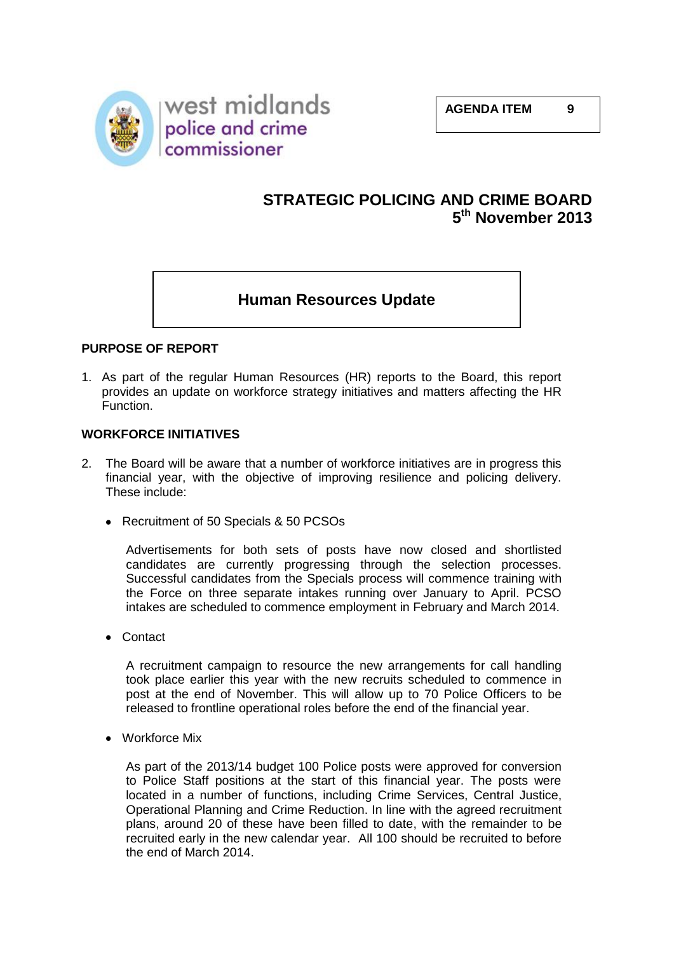

# **STRATEGIC POLICING AND CRIME BOARD 5 th November 2013**

# **Human Resources Update**

## **PURPOSE OF REPORT**

1. As part of the regular Human Resources (HR) reports to the Board, this report provides an update on workforce strategy initiatives and matters affecting the HR Function.

### **WORKFORCE INITIATIVES**

- 2. The Board will be aware that a number of workforce initiatives are in progress this financial year, with the objective of improving resilience and policing delivery. These include:
	- Recruitment of 50 Specials & 50 PCSOs

Advertisements for both sets of posts have now closed and shortlisted candidates are currently progressing through the selection processes. Successful candidates from the Specials process will commence training with the Force on three separate intakes running over January to April. PCSO intakes are scheduled to commence employment in February and March 2014.

Contact

A recruitment campaign to resource the new arrangements for call handling took place earlier this year with the new recruits scheduled to commence in post at the end of November. This will allow up to 70 Police Officers to be released to frontline operational roles before the end of the financial year.

Workforce Mix

As part of the 2013/14 budget 100 Police posts were approved for conversion to Police Staff positions at the start of this financial year. The posts were located in a number of functions, including Crime Services, Central Justice, Operational Planning and Crime Reduction. In line with the agreed recruitment plans, around 20 of these have been filled to date, with the remainder to be recruited early in the new calendar year. All 100 should be recruited to before the end of March 2014.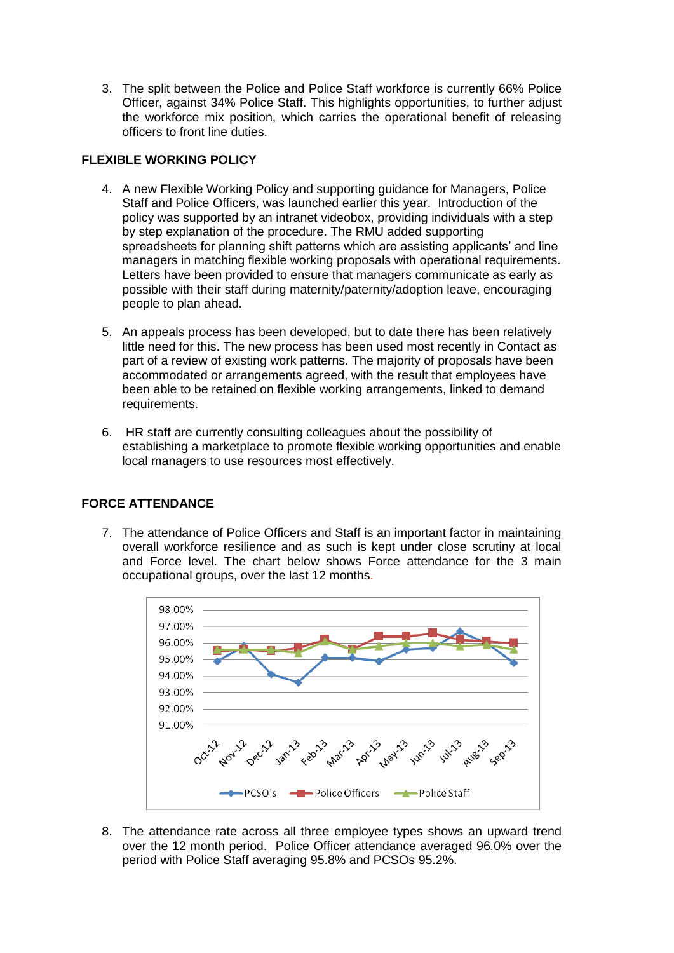3. The split between the Police and Police Staff workforce is currently 66% Police Officer, against 34% Police Staff. This highlights opportunities, to further adjust the workforce mix position, which carries the operational benefit of releasing officers to front line duties.

## **FLEXIBLE WORKING POLICY**

- 4. A new Flexible Working Policy and supporting guidance for Managers, Police Staff and Police Officers, was launched earlier this year. Introduction of the policy was supported by an intranet videobox, providing individuals with a step by step explanation of the procedure. The RMU added supporting spreadsheets for planning shift patterns which are assisting applicants' and line managers in matching flexible working proposals with operational requirements. Letters have been provided to ensure that managers communicate as early as possible with their staff during maternity/paternity/adoption leave, encouraging people to plan ahead.
- 5. An appeals process has been developed, but to date there has been relatively little need for this. The new process has been used most recently in Contact as part of a review of existing work patterns. The majority of proposals have been accommodated or arrangements agreed, with the result that employees have been able to be retained on flexible working arrangements, linked to demand requirements.
- 6. HR staff are currently consulting colleagues about the possibility of establishing a marketplace to promote flexible working opportunities and enable local managers to use resources most effectively.

## **FORCE ATTENDANCE**

7. The attendance of Police Officers and Staff is an important factor in maintaining overall workforce resilience and as such is kept under close scrutiny at local and Force level. The chart below shows Force attendance for the 3 main occupational groups, over the last 12 months.



8. The attendance rate across all three employee types shows an upward trend over the 12 month period. Police Officer attendance averaged 96.0% over the period with Police Staff averaging 95.8% and PCSOs 95.2%.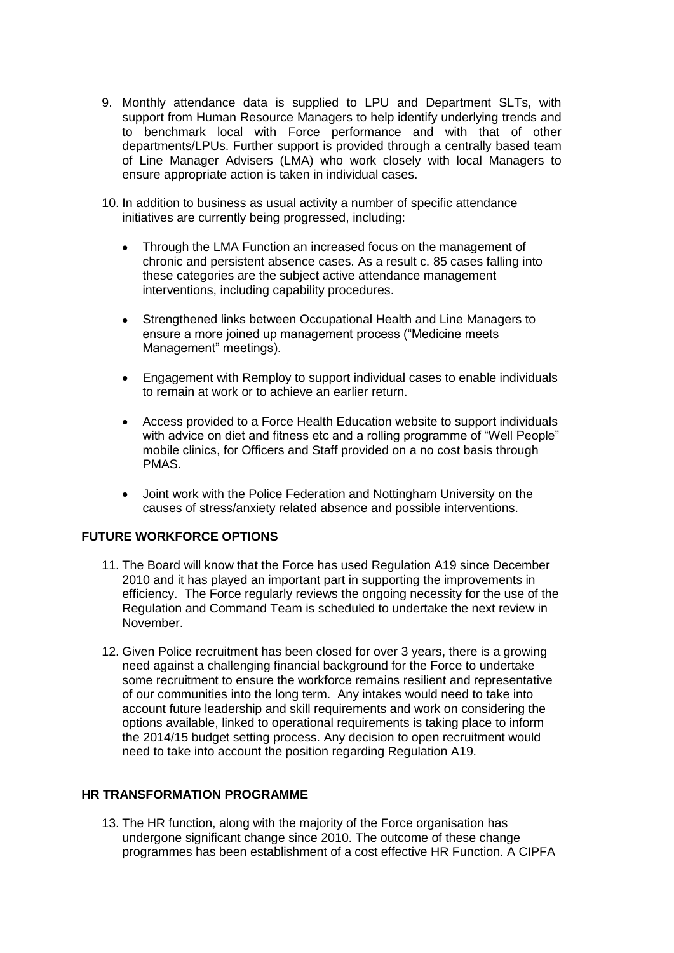- 9. Monthly attendance data is supplied to LPU and Department SLTs, with support from Human Resource Managers to help identify underlying trends and to benchmark local with Force performance and with that of other departments/LPUs. Further support is provided through a centrally based team of Line Manager Advisers (LMA) who work closely with local Managers to ensure appropriate action is taken in individual cases.
- 10. In addition to business as usual activity a number of specific attendance initiatives are currently being progressed, including:
	- Through the LMA Function an increased focus on the management of chronic and persistent absence cases. As a result c. 85 cases falling into these categories are the subject active attendance management interventions, including capability procedures.
	- $\bullet$ Strengthened links between Occupational Health and Line Managers to ensure a more joined up management process ("Medicine meets Management" meetings).
	- Engagement with Remploy to support individual cases to enable individuals to remain at work or to achieve an earlier return.
	- Access provided to a Force Health Education website to support individuals with advice on diet and fitness etc and a rolling programme of "Well People" mobile clinics, for Officers and Staff provided on a no cost basis through PMAS.
	- Joint work with the Police Federation and Nottingham University on the causes of stress/anxiety related absence and possible interventions.

### **FUTURE WORKFORCE OPTIONS**

- 11. The Board will know that the Force has used Regulation A19 since December 2010 and it has played an important part in supporting the improvements in efficiency. The Force regularly reviews the ongoing necessity for the use of the Regulation and Command Team is scheduled to undertake the next review in November.
- 12. Given Police recruitment has been closed for over 3 years, there is a growing need against a challenging financial background for the Force to undertake some recruitment to ensure the workforce remains resilient and representative of our communities into the long term. Any intakes would need to take into account future leadership and skill requirements and work on considering the options available, linked to operational requirements is taking place to inform the 2014/15 budget setting process. Any decision to open recruitment would need to take into account the position regarding Regulation A19.

### **HR TRANSFORMATION PROGRAMME**

13. The HR function, along with the majority of the Force organisation has undergone significant change since 2010. The outcome of these change programmes has been establishment of a cost effective HR Function. A CIPFA